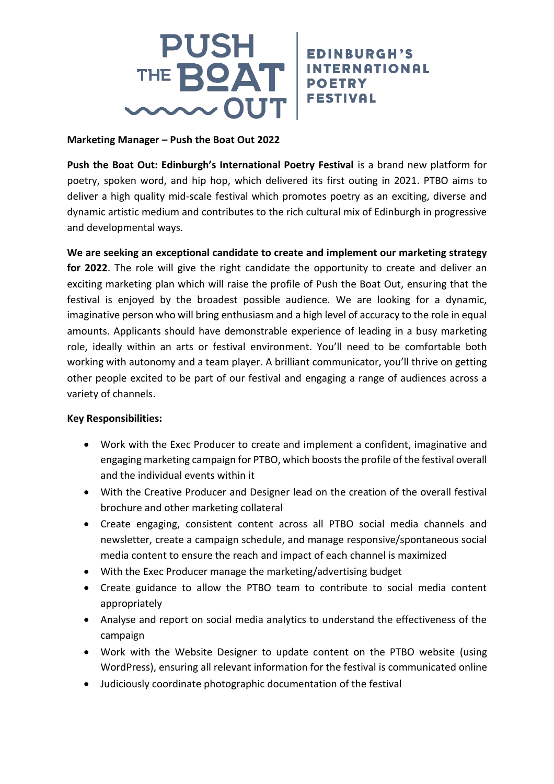

## **Marketing Manager – Push the Boat Out 2022**

**Push the Boat Out: Edinburgh's International Poetry Festival** is a brand new platform for poetry, spoken word, and hip hop, which delivered its first outing in 2021. PTBO aims to deliver a high quality mid-scale festival which promotes poetry as an exciting, diverse and dynamic artistic medium and contributes to the rich cultural mix of Edinburgh in progressive and developmental ways.

**EDINBURGH'S** 

**We are seeking an exceptional candidate to create and implement our marketing strategy for 2022**. The role will give the right candidate the opportunity to create and deliver an exciting marketing plan which will raise the profile of Push the Boat Out, ensuring that the festival is enjoyed by the broadest possible audience. We are looking for a dynamic, imaginative person who will bring enthusiasm and a high level of accuracy to the role in equal amounts. Applicants should have demonstrable experience of leading in a busy marketing role, ideally within an arts or festival environment. You'll need to be comfortable both working with autonomy and a team player. A brilliant communicator, you'll thrive on getting other people excited to be part of our festival and engaging a range of audiences across a variety of channels.

## **Key Responsibilities:**

- Work with the Exec Producer to create and implement a confident, imaginative and engaging marketing campaign for PTBO, which boosts the profile of the festival overall and the individual events within it
- With the Creative Producer and Designer lead on the creation of the overall festival brochure and other marketing collateral
- Create engaging, consistent content across all PTBO social media channels and newsletter, create a campaign schedule, and manage responsive/spontaneous social media content to ensure the reach and impact of each channel is maximized
- With the Exec Producer manage the marketing/advertising budget
- Create guidance to allow the PTBO team to contribute to social media content appropriately
- Analyse and report on social media analytics to understand the effectiveness of the campaign
- Work with the Website Designer to update content on the PTBO website (using WordPress), ensuring all relevant information for the festival is communicated online
- Judiciously coordinate photographic documentation of the festival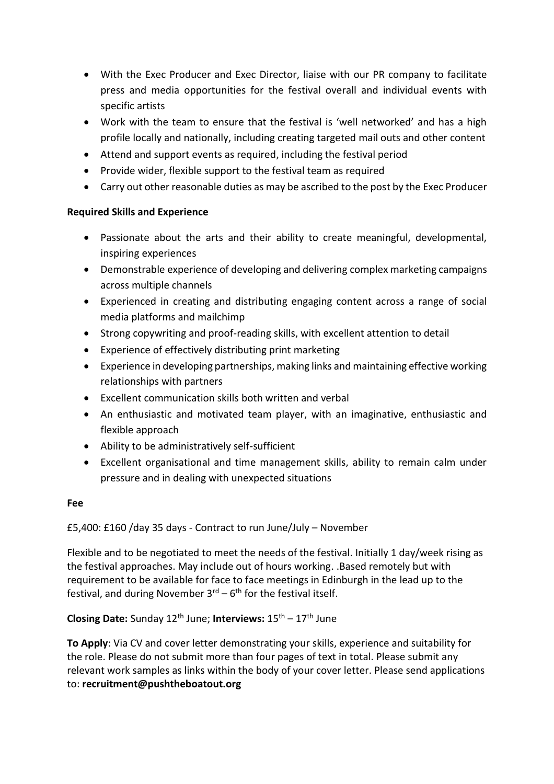- With the Exec Producer and Exec Director, liaise with our PR company to facilitate press and media opportunities for the festival overall and individual events with specific artists
- Work with the team to ensure that the festival is 'well networked' and has a high profile locally and nationally, including creating targeted mail outs and other content
- Attend and support events as required, including the festival period
- Provide wider, flexible support to the festival team as required
- Carry out other reasonable duties as may be ascribed to the post by the Exec Producer

## **Required Skills and Experience**

- Passionate about the arts and their ability to create meaningful, developmental, inspiring experiences
- Demonstrable experience of developing and delivering complex marketing campaigns across multiple channels
- Experienced in creating and distributing engaging content across a range of social media platforms and mailchimp
- Strong copywriting and proof-reading skills, with excellent attention to detail
- Experience of effectively distributing print marketing
- Experience in developing partnerships, making links and maintaining effective working relationships with partners
- Excellent communication skills both written and verbal
- An enthusiastic and motivated team player, with an imaginative, enthusiastic and flexible approach
- Ability to be administratively self-sufficient
- Excellent organisational and time management skills, ability to remain calm under pressure and in dealing with unexpected situations

## **Fee**

£5,400: £160 /day 35 days - Contract to run June/July – November

Flexible and to be negotiated to meet the needs of the festival. Initially 1 day/week rising as the festival approaches. May include out of hours working. .Based remotely but with requirement to be available for face to face meetings in Edinburgh in the lead up to the festival, and during November 3<sup>rd</sup> – 6<sup>th</sup> for the festival itself.

**Closing Date:** Sunday 12<sup>th</sup> June; **Interviews:** 15<sup>th</sup> – 17<sup>th</sup> June

**To Apply**: Via CV and cover letter demonstrating your skills, experience and suitability for the role. Please do not submit more than four pages of text in total. Please submit any relevant work samples as links within the body of your cover letter. Please send applications to: **recruitment@pushtheboatout.org**